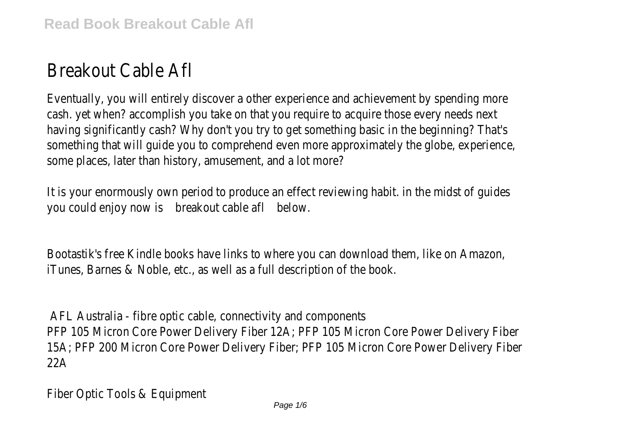## Breakout Cable Afl

Eventually, you will entirely discover a other experience and achievement by spending more in and achievement and  $m$ cash. yet when? accomplish you take on that you require to acquire having significantly cash? Why don't you try to get something bay something that will guide you to comprehend even more approxin some places, later than history, amusement, and a lot more?

It is your enormously own period to produce an effect reviewing you could enjoy breakoust cable aft.

Bootastik's free Kindle books have links to where you can downlo iTunes, Barnes & Noble, etc., as well as a full description of the book.

AFL Australia - fibre optic cable, connectivity and components PFP 105 Micron Core Power Delivery Fiber 12A; PFP 105 Micron 15A; PFP 200 Micron Core Power Delivery Fiber; PFP 105 Micron  $22A$ 

Fiber Optic Tools & Equipment Page 1/6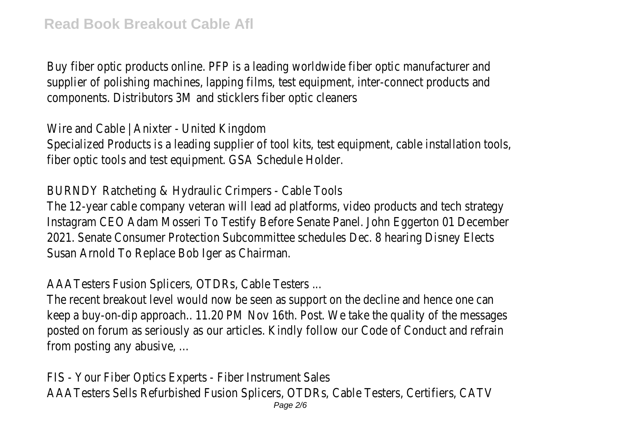Buy fiber optic products online. PFP is a leading worldwide fiber optic manufacturer and manufacturer and manufacturer and the manufacturer and the manufacturer and the manufacturer and the manufacturer and the manufacture supplier of polishing machines, lapping films, test equipment, intercomponents. Distributors 3M and sticklers fiber optic cleaners

Wire and Cable | Anixter - United Kingdom Specialized Products is a leading supplier of tool kits, test equipm fiber optic tools and test equipment. GSA Schedule Holder.

BURNDY Ratcheting & Hydraulic Crimpers - Cable Tools The 12-year cable company veteran will lead ad platforms, video products and tech strategy and teams. Instagram CEO Adam Mosseri To Testify Before Senate Panel. Joh 2021. Senate Consumer Protection Subcommittee schedules Dec. Susan Arnold To Replace Bob Iger as Chairman.

AAATesters Fusion Splicers, OTDRs, Cable Testers ...

The recent breakout level would now be seen as support on the keep a buy-on-dip approach.. 11.20 PM Nov 16th. Post. We take the posted on forum as seriously as our articles. Kindly follow our Co from posting any abusive, ...

FIS - Your Fiber Optics Experts - Fiber Instrument Sales AAATesters Sells Refurbished Fusion Splicers, OTDRs, Cable Tester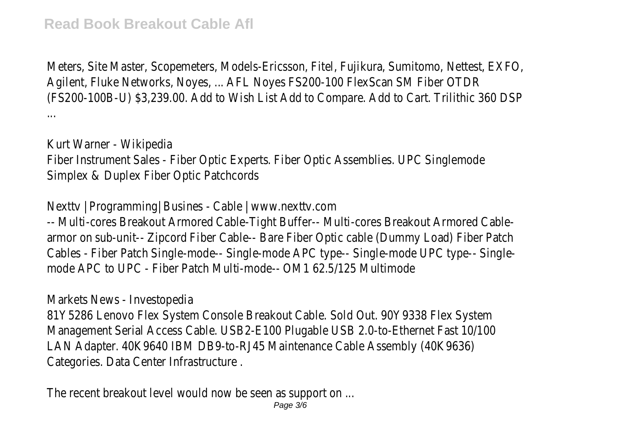Meters, Site Master, Scopemeters, Models-Ericsson, Fitel, Fujikura Agilent, Fluke Networks, Noyes, ... AFL Noyes FS200-100 FlexScan (FS200-100B-U) \$3,239.00. Add to Wish List Add to Compare. Add ...

Kurt Warner - Wikipedia Fiber Instrument Sales - Fiber Optic Experts. Fiber Optic Assemblie Simplex & Duplex Fiber Optic Patchcords

Nexttv | Programming| Busines - Cable | www.nexttv.com -- Multi-cores Breakout Armored Cable-Tight Buffer-- Multi-cores armor on sub-unit-- Zipcord Fiber Cable-- Bare Fiber Optic cable (I Cables - Fiber Patch Single-mode-- Single-mode APC type-- Singlemode APC to UPC - Fiber Patch Multi-mode-- OM1 62.5/125 Multimode

Markets News - Investopedia

81Y5286 Lenovo Flex System Console Breakout Cable. Sold Out. 9 Management Serial Access Cable. USB2-E100 Plugable USB 2.0-to LAN Adapter. 40K9640 IBM DB9-to-RJ45 Maintenance Cable Asse Categories. Data Center Infrastructure .

The recent breakout level would now be seen as support on ...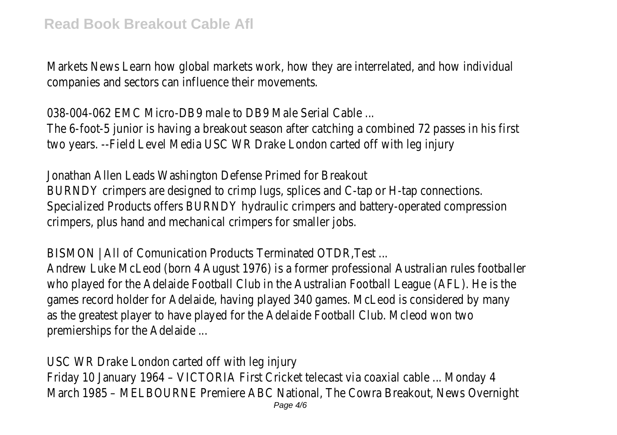Markets News Learn how global markets work, how they are intercompanies and sectors can influence their movements.

038-004-062 EMC Micro-DB9 male to DB9 Male Serial Cable ... The 6-foot-5 junior is having a breakout season after catching a two years. --Field Level Media USC WR Drake London carted off v

Jonathan Allen Leads Washington Defense Primed for Breakout BURNDY crimpers are designed to crimp lugs, splices and C-tap or Specialized Products offers BURNDY hydraulic crimpers and batter crimpers, plus hand and mechanical crimpers for smaller jobs.

BISMON | All of Comunication Products Terminated OTDR,Test ... Andrew Luke McLeod (born 4 August 1976) is a former professional who played for the Adelaide Football Club in the Australian Football games record holder for Adelaide, having played 340 games. McLe as the greatest player to have played for the Adelaide Football Club. premierships for the Adelaide ...

USC WR Drake London carted off with leg injury Friday 10 January 1964 - VICTORIA First Cricket telecast via coax March 1985 – MELBOURNE Premiere ABC National, The Cowra Bre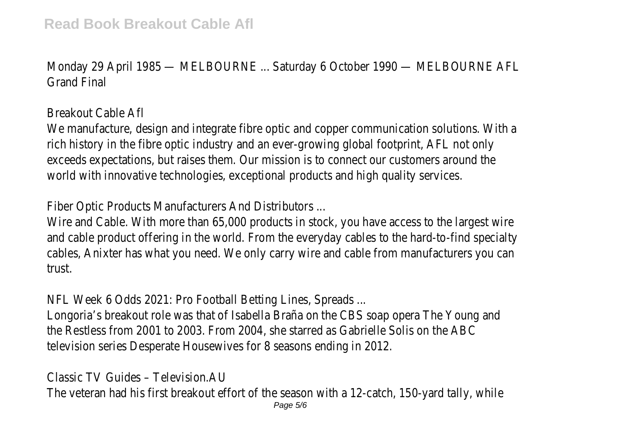Monday 29 April 1985 — MELBOURNE ... Saturday 6 October 1990 Grand Final

## Breakout Cable Afl

We manufacture, design and integrate fibre optic and copper communications. rich history in the fibre optic industry and an ever-growing global exceeds expectations, but raises them. Our mission is to connect world with innovative technologies, exceptional products and high

Fiber Optic Products Manufacturers And Distributors ...

Wire and Cable. With more than 65,000 products in stock, you have and cable product offering in the world. From the everyday cables cables, Anixter has what you need. We only carry wire and cable trust.

NFL Week 6 Odds 2021: Pro Football Betting Lines, Spreads ... Longoria's breakout role was that of Isabella Braña on the CBS so the Restless from 2001 to 2003. From 2004, she starred as Gal television series Desperate Housewives for 8 seasons ending in 2

Classic TV Guides – Television.AU The veteran had his first breakout effort of the season with a 12 Page 5/6